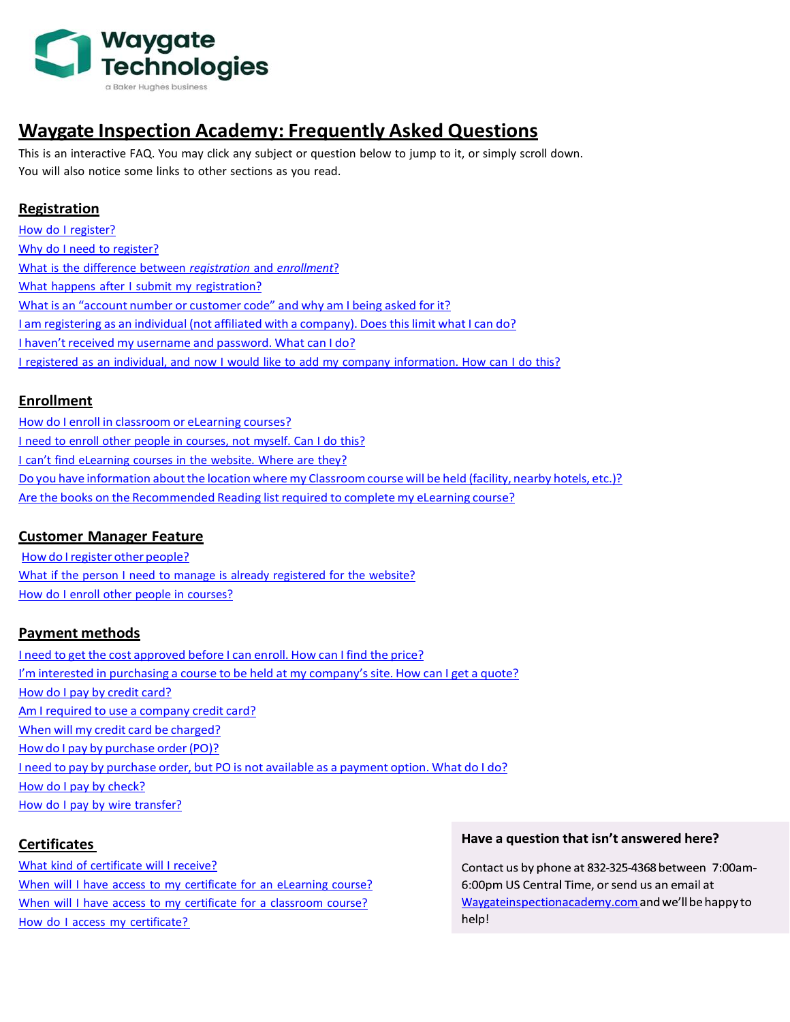

# **Waygate Inspection Academy: Frequently Asked Questions**

This is an interactive FAQ. You may click any subject or question below to jump to it, or simply scroll down. You will also notice some links to other sections as you read.

# **[Registration](#page-1-0)**

How do I [register?](#page-1-1) Why do I need to [register?](#page-1-2) What is the difference between *[registration](#page-1-3)* and *enrollment*[?](#page-1-4) What happens after I submit my [registration?](#page-1-4) What is an "account number or [customer](#page-1-5) code" and why am I being asked for it? I am registering as an individual (not affiliated with a [company\).](#page-1-6) Does this limit what I can do[?](#page-1-7) I haven't received my username and [password.](#page-1-7) What can I do? I registered as an individual, and now I would like to add my company [information.](#page-1-8) How can I do this?

# **[Enrollment](#page-1-9)**

How do I enroll in [classroom](#page-2-0) or eLearning courses? I need to enroll other people in [courses,](#page-2-1) not myself. Can I do this[?](#page-2-2) I can't find [eLearning](#page-2-2) courses in the website. Where are they? Do you have information about the location where my Classroom course will be held (facility, nearby hotels, etc.)? Are the books on the [Recommended](#page-2-4) Reading listrequired to complete my eLearning course?

# **[Customer](#page-4-0) Manager Feature**

How do Iregister other people? What if the person I need to manage is already [registered](#page-5-0) for the website? How do I enroll other people in courses?

# **Payment methods**

I need to get the cost [approved](#page-2-5) before I can enroll. How can I find the price? I'm interested in [purchasing](#page-2-6) a course to be held at my company's site. How can I get a quote[?](#page-2-7) How do I pay by [credit](#page-2-7) card? Am I required to use a company credit card[?](#page-5-1) When will my credit card be [charged?](#page-5-1) How do I pay by purchase order (PO)? I need to pay by [purchase](#page-3-1) order, but PO is not available as a payment option. What do I do[?](#page-3-2) How do I pay by [check?](#page-3-2) How do I pay by wire [transfer?](#page-3-3)

# **[Certificates](#page-5-1)**

What kind of [certificate](#page-4-1) will I receive? When will I have access to my [certificate](#page-4-2) for an eLearning course? When will I have access to my certificate for a [classroom](#page-4-3) course? How do I access my [certificate?](#page-4-4)

## Have a question that isn't answered here?

Contact us by phone at 832-325-4368 between 7:00am-6:00pm US Central Time, or send us an email at Waygateinspectionacademy.com and we'll be happy to help!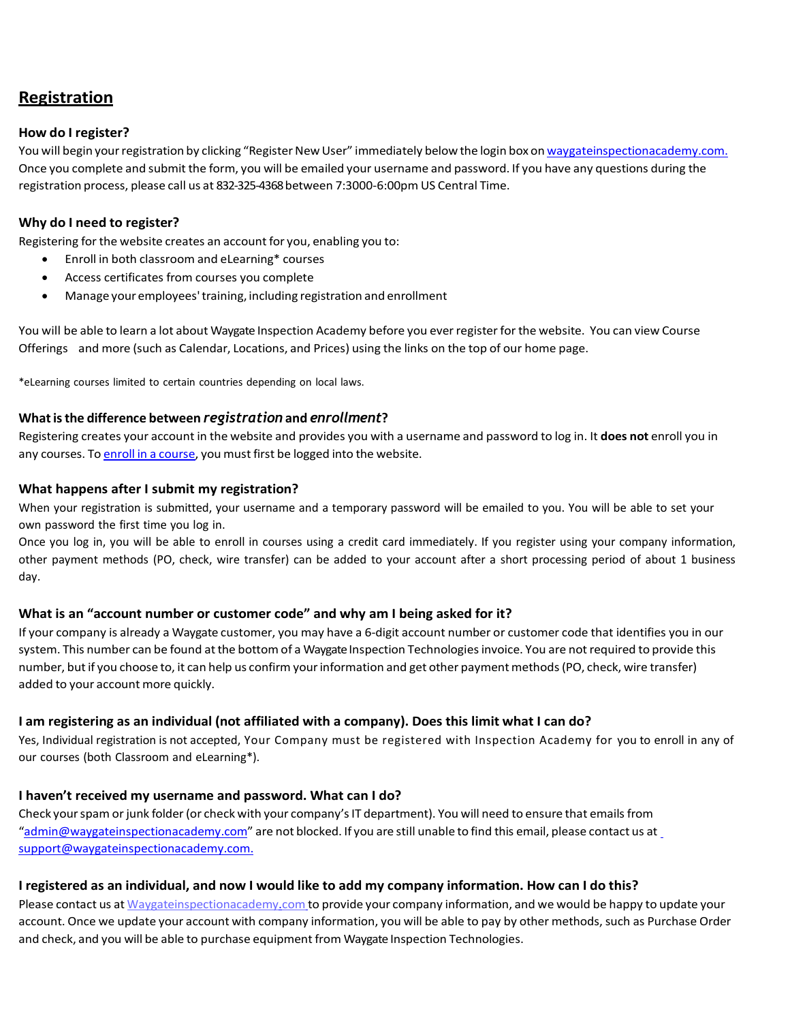# <span id="page-1-0"></span>**Registration**

## <span id="page-1-1"></span>**How do I register?**

You will begin your registration by clicking "Register New User" immediately below the login box on [waygateinspectionacademy.com.](http://www.inspectionacademy.com./) Once you complete and submit the form, you will be emailed your username and password. If you have any questions during the registration process, please call us at 832-325-4368between 7:3000-6:00pm US Central Time.

# <span id="page-1-2"></span>**Why do I need to register?**

Registering for the website creates an account for you, enabling you to:

- Enroll in both classroom and eLearning\* courses
- Access certificates from courses you complete
- Manage youremployees'training, including registration and enrollment

You will be able to learn a lot about Waygate Inspection Academy before you ever register for the website. You can view Course Offerings and more (such as Calendar, Locations, and Prices) using the links on the top of our home page.

\*eLearning courses limited to certain countries depending on local laws.

## <span id="page-1-3"></span>**What is the difference between** *registration* **and** *enrollment***?**

Registering creates your account in the website and provides you with a username and password to log in. It **does not** enroll you in any courses. To enroll in a [course,](#page-2-0) you must first be logged into the website.

#### <span id="page-1-4"></span>**What happens after I submit my registration?**

When your registration is submitted, your username and a temporary password will be emailed to you. You will be able to set your own password the first time you log in.

Once you log in, you will be able to enroll in courses using a credit card immediately. If you register using your company information, other payment methods (PO, check, wire transfer) can be added to your account after a short processing period of about 1 business day.

## <span id="page-1-5"></span>**What is an "account number or customer code" and why am I being asked for it?**

If your company is already a Waygate customer, you may have a 6-digit account number or customer code that identifies you in our system. This number can be found at the bottom of a Waygate Inspection Technologies invoice. You are not required to provide this number, but if you choose to, it can help us confirm your information and get other payment methods (PO, check, wire transfer) added to your account more quickly.

## <span id="page-1-6"></span>**I am registering as an individual (not affiliated with a company). Does this limit what I can do?**

Yes, Individual registration is not accepted, Your Company must be registered with Inspection Academy for you to enroll in any of our courses (both Classroom and eLearning\*).

## <span id="page-1-7"></span>**I haven't received my username and password. What can I do?**

Check your spam or junk folder (or check with your company's IT department). You will need to ensure that emails from "[admin@waygateinspectionacademy.com](mailto:admin@waygateinspectionacademy.com)" are not blocked. If you are still unable to find this email, please contact us a[t](mailto:%20support@waygateinspectionacademy.com.) [support@waygateinspectionacademy.com.](mailto:%20support@waygateinspectionacademy.com.)

## <span id="page-1-8"></span>I registered as an individual, and now I would like to add my company information. How can I do this?

<span id="page-1-9"></span>Please contact us at [Waygateinspectionacademy.com](mailto:Inspection.Academy@waygateinspectionacademy.com) to provide your company information, and we would be happy to update your account. Once we update your account with company information, you will be able to pay by other methods, such as Purchase Order and check, and you will be able to purchase equipment from Waygate Inspection Technologies.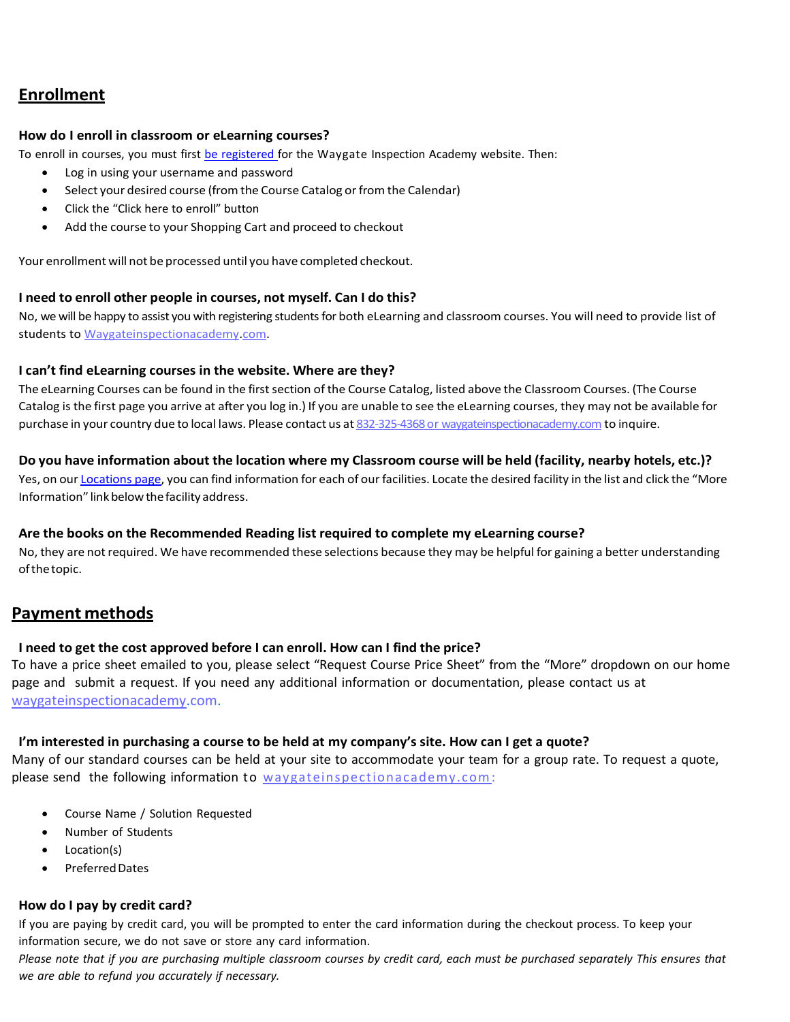# **Enrollment**

### <span id="page-2-0"></span>**How do I enroll in classroom or eLearning courses?**

To enroll in courses, you must first be [registered](#page-1-1) for the Waygate Inspection Academy website. Then:

- Log in using your username and password
- Select your desired course (from the Course Catalog or from the Calendar)
- Click the "Click here to enroll" button
- Add the course to your Shopping Cart and proceed to checkout

Your enrollment will not be processed until you have completed checkout.

#### <span id="page-2-1"></span>**I need to enroll other people in courses, not myself. Can I do this?**

No, we will be happy to assist you with registering students for both eLearning and classroom courses. You will need to provide list of students to Waygateinspectionacademy.com.

#### <span id="page-2-2"></span>**I can't find eLearning courses in the website. Where are they?**

The eLearning Courses can be found in the first section of the Course Catalog, listed above the Classroom Courses. (The Course Catalog is the first page you arrive at after you log in.) If you are unable to see the eLearning courses, they may not be available for purchase in your country due to local laws. Please contact us at 832-325-4368 or waygateinspectionacademy.com to inquire.

#### <span id="page-2-3"></span>Do you have information about the location where my Classroom course will be held (facility, nearby hotels, etc.)?

Yes, on our [Locations](https://www.geinspectionacademy.com/locations.php) page, you can find information for each of our facilities. Locate the desired facility in the list and click the "More Information" link below the facility address.

## <span id="page-2-4"></span>**Are the books on the Recommended Reading list required to complete my eLearning course?**

No, they are not required. We have recommended these selections because they may be helpful for gaining a better understanding ofthetopic.

# **Payment methods**

# <span id="page-2-5"></span>**I need to get the cost approved before I can enroll. How can I find the price?**

To have a price sheet emailed to you, please select "Request Course Price Sheet" from the "More" dropdown on our home page and submit a request. If you need any additional information or documentation, please contact us at [waygateinspectionacademy.com.](mailto:Inspection.Academy@ge.com)

# <span id="page-2-6"></span>**I'm interested in purchasing a course to be held at my company's site. How can I get a quote?**

Many of our standard courses can be held at your site to accommodate your team for a group rate. To request a quote, please send the following information to waygateinspectionacademy.com:

- Course Name / Solution Requested
- Number of Students
- Location(s)
- Preferred Dates

# <span id="page-2-7"></span>**How do I pay by credit card?**

If you are paying by credit card, you will be prompted to enter the card information during the checkout process. To keep your information secure, we do not save or store any card information.

Please note that if you are purchasing multiple classroom courses by credit card, each must be purchased separately This ensures that *we are able to refund you accurately if necessary.*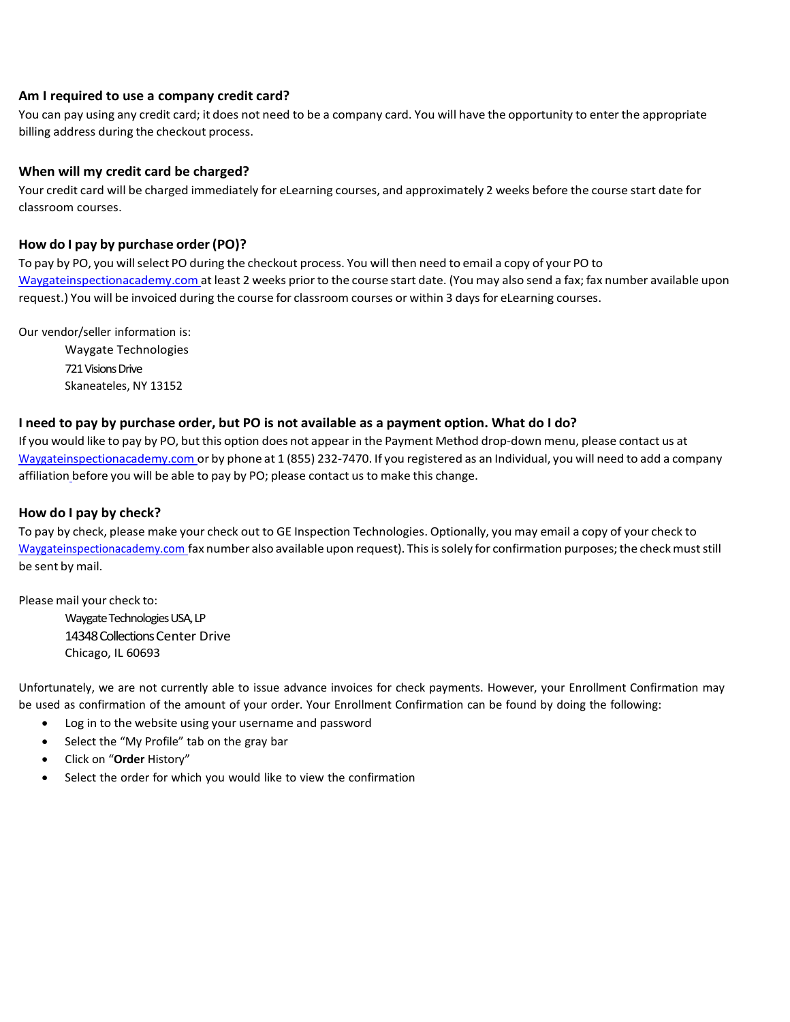#### **Am I required to use a company credit card?**

You can pay using any credit card; it does not need to be a company card. You will have the opportunity to enter the appropriate billing address during the checkout process.

#### **When will my credit card be charged?**

Your credit card will be charged immediately for eLearning courses, and approximately 2 weeks before the course start date for classroom courses.

#### <span id="page-3-0"></span>**How do I pay by purchase order (PO)?**

To pay by PO, you willselect PO during the checkout process. You will then need to email a copy of your PO to [Waygateinspectionacademy.com](mailto:Inspection.Academy@ge.com) at least 2 weeks prior to the course start date. (You may also send a fax; fax number available upon request.) You will be invoiced during the course for classroom courses or within 3 days for eLearning courses.

Our vendor/seller information is:

Waygate Technologies 721 Visions Drive Skaneateles, NY 13152

#### <span id="page-3-1"></span>I need to pay by purchase order, but PO is not available as a payment option. What do I do?

If you would like to pay by PO, but this option does not appear in the Payment Method drop-down menu, please contact us at Waygateinspectionacademy.com or by phone at 1 (855) 232-7470. If you registered as an Individual, you will need to add a [company](#page-1-8) [affiliation](#page-1-8) before you will be able to pay by PO; please contact us to make this change.

#### <span id="page-3-2"></span>**How do I pay by check?**

To pay by check, please make your check out to GE Inspection Technologies. Optionally, you may email a copy of your check to Waygateinspectionacademy.com fax number also available upon request). This is solely for confirmation purposes; the check must still be sent by mail.

Please mail your check to: Waygate Technologies USA, LP 14348 Collections Center Drive Chicago, IL 60693

Unfortunately, we are not currently able to issue advance invoices for check payments. However, your Enrollment Confirmation may be used as confirmation of the amount of your order. Your Enrollment Confirmation can be found by doing the following:

- Log in to the website using your username and password
- Select the "My Profile" tab on the gray bar
- Click on "**Order** History"
- <span id="page-3-3"></span>Select the order for which you would like to view the confirmation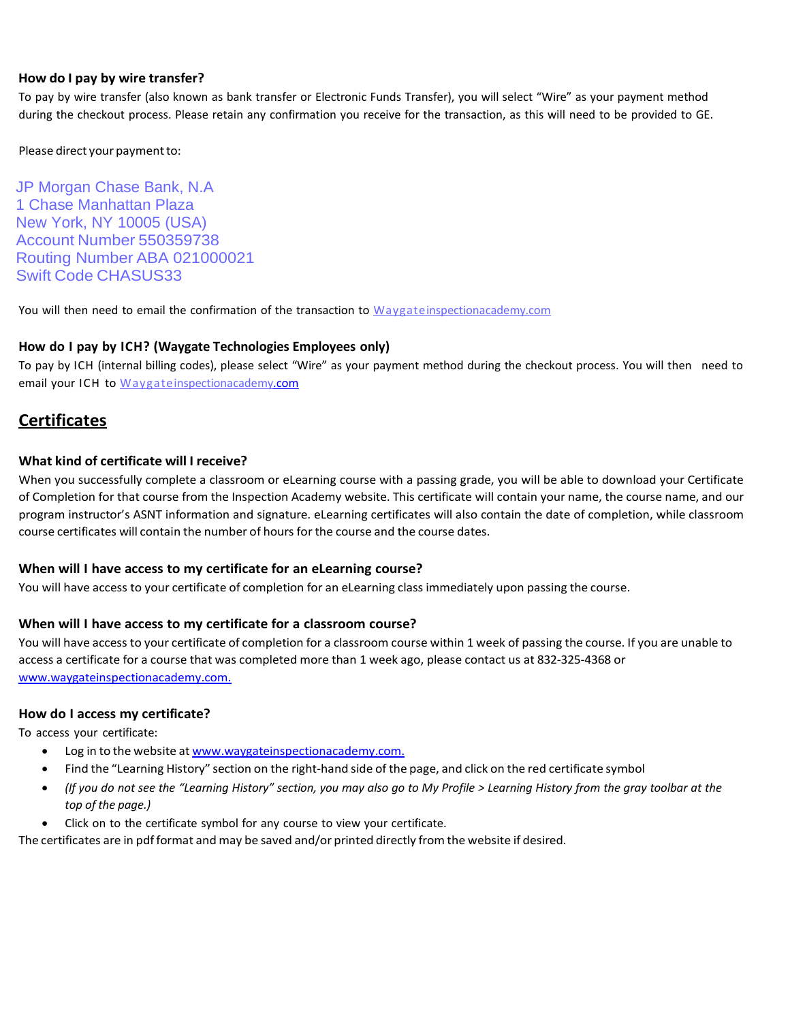#### **How do I pay by wire transfer?**

To pay by wire transfer (also known as bank transfer or Electronic Funds Transfer), you will select "Wire" as your payment method during the checkout process. Please retain any confirmation you receive for the transaction, as this will need to be provided to GE.

Please direct your payment to:

JP Morgan Chase Bank, N.A 1 Chase Manhattan Plaza New York, NY 10005 (USA) Account Number 550359738 Routing Number ABA 021000021 Swift Code CHASUS33

You will then need to email the confirmation of the transaction to Waygat[einspectionacademy.com](mailto:Inspection.Academy@ge.com.)

## **How do I pay by ICH? (Waygate Technologies Employees only)**

To pay by ICH (internal billing codes), please select "Wire" as your payment method during the checkout process. You will then need to email your ICH to Waygateinspectionacademy.com

# **Certificates**

## <span id="page-4-1"></span>**What kind of certificate will I receive?**

When you successfully complete a classroom or eLearning course with a passing grade, you will be able to download your Certificate of Completion for that course from the Inspection Academy website. This certificate will contain your name, the course name, and our program instructor's ASNT information and signature. eLearning certificates will also contain the date of completion, while classroom course certificates will contain the number of hours for the course and the course dates.

## <span id="page-4-2"></span>**When will I have access to my certificate for an eLearning course?**

You will have access to your certificate of completion for an eLearning class immediately upon passing the course.

## <span id="page-4-3"></span>**When will I have access to my certificate for a classroom course?**

You will have access to your certificate of completion for a classroom course within 1 week of passing the course. If you are unable to access a certificate for a course that was completed more than 1 week ago, please contact us at 832-325-4368 or [www.waygateinspectionacademy.com.](http://www.waygateinspectionacademy.com./)

#### <span id="page-4-4"></span>**How do I access my certificate?**

To access your certificate:

- Log in to the website at [www.waygateinspectionacademy.com.](http://www.waygateinspectionacademy.com./)
- Find the "Learning History" section on the right-hand side of the page, and click on the red certificate symbol
- (If you do not see the "Learning History" section, you may also go to My Profile > Learning History from the gray toolbar at the *top of the page.)*
- Click on to the certificate symbol for any course to view your certificate.

<span id="page-4-0"></span>The certificates are in pdf format and may be saved and/or printed directly from the website if desired.